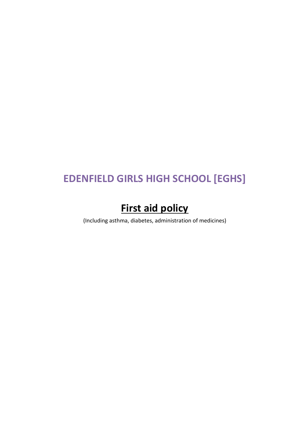# **EDENFIELD GIRLS HIGH SCHOOL [EGHS]**

# **First aid policy**

(Including asthma, diabetes, administration of medicines)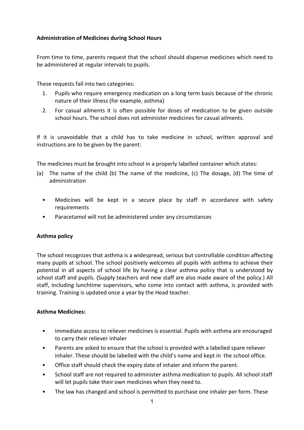# **Administration of Medicines during School Hours**

From time to time, parents request that the school should dispense medicines which need to be administered at regular intervals to pupils.

These requests fall into two categories:

- 1. Pupils who require emergency medication on a long term basis because of the chronic nature of their illness (for example, asthma)
- 2. For casual ailments it is often possible for doses of medication to be given outside school hours. The school does not administer medicines for casual ailments.

If it is unavoidable that a child has to take medicine in school, written approval and instructions are to be given by the parent:

The medicines must be brought into school in a properly labelled container which states:

- (a) The name of the child (b) The name of the medicine, (c) The dosage, (d) The time of administration
	- Medicines will be kept in a secure place by staff in accordance with safety requirements
	- Paracetamol will not be administered under any circumstances

# **Asthma policy**

The school recognizes that asthma is a widespread, serious but controllable condition affecting many pupils at school. The school positively welcomes all pupils with asthma to achieve their potential in all aspects of school life by having a clear asthma policy that is understood by school staff and pupils. (Supply teachers and new staff are also made aware of the policy.) All staff, including lunchtime supervisors, who come into contact with asthma, is provided with training. Training is updated once a year by the Head teacher.

# **Asthma Medicines:**

- Immediate access to reliever medicines is essential. Pupils with asthma are encouraged to carry their reliever inhaler
- Parents are asked to ensure that the school is provided with a labelled spare reliever inhaler. These should be labelled with the child's name and kept in the school office.
- Office staff should check the expiry date of inhaler and inform the parent.
- School staff are not required to administer asthma medication to pupils. All school staff will let pupils take their own medicines when they need to.
- The law has changed and school is permitted to purchase one inhaler per form. These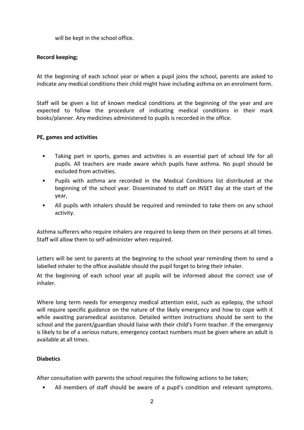will be kept in the school office.

## **Record keeping;**

At the beginning of each school year or when a pupil joins the school, parents are asked to indicate any medical conditions their child might have including asthma on an enrolment form.

Staff will be given a list of known medical conditions at the beginning of the year and are expected to follow the procedure of indicating medical conditions in their mark books/planner. Any medicines administered to pupils is recorded in the office.

### **PE, games and activities**

- Taking part in sports, games and activities is an essential part of school life for all pupils. All teachers are made aware which pupils have asthma. No pupil should be excluded from activities.
- Pupils with asthma are recorded in the Medical Conditions list distributed at the beginning of the school year. Disseminated to staff on INSET day at the start of the year,
- All pupils with inhalers should be required and reminded to take them on any school activity.

Asthma sufferers who require inhalers are required to keep them on their persons at all times. Staff will allow them to self-administer when required.

Letters will be sent to parents at the beginning to the school year reminding them to send a labelled inhaler to the office available should the pupil forget to bring their inhaler.

At the beginning of each school year all pupils will be informed about the correct use of inhaler.

Where long term needs for emergency medical attention exist, such as epilepsy, the school will require specific guidance on the nature of the likely emergency and how to cope with it while awaiting paramedical assistance. Detailed written instructions should be sent to the school and the parent/guardian should liaise with their child's Form teacher. If the emergency is likely to be of a serious nature, emergency contact numbers must be given where an adult is available at all times.

### **Diabetics**

After consultation with parents the school requires the following actions to be taken;

• All members of staff should be aware of a pupil's condition and relevant symptoms.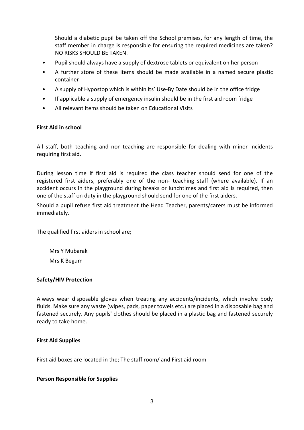Should a diabetic pupil be taken off the School premises, for any length of time, the staff member in charge is responsible for ensuring the required medicines are taken? NO RISKS SHOULD BE TAKEN.

- Pupil should always have a supply of dextrose tablets or equivalent on her person
- A further store of these items should be made available in a named secure plastic container
- A supply of Hypostop which is within its' Use-By Date should be in the office fridge
- If applicable a supply of emergency insulin should be in the first aid room fridge
- All relevant items should be taken on Educational Visits

#### **First Aid in school**

All staff, both teaching and non-teaching are responsible for dealing with minor incidents requiring first aid.

During lesson time if first aid is required the class teacher should send for one of the registered first aiders, preferably one of the non- teaching staff (where available). If an accident occurs in the playground during breaks or lunchtimes and first aid is required, then one of the staff on duty in the playground should send for one of the first aiders.

Should a pupil refuse first aid treatment the Head Teacher, parents/carers must be informed immediately.

The qualified first aiders in school are;

Mrs Y Mubarak Mrs K Begum

#### **Safety/HIV Protection**

Always wear disposable gloves when treating any accidents/incidents, which involve body fluids. Make sure any waste (wipes, pads, paper towels etc.) are placed in a disposable bag and fastened securely. Any pupils' clothes should be placed in a plastic bag and fastened securely ready to take home.

#### **First Aid Supplies**

First aid boxes are located in the; The staff room/ and First aid room

#### **Person Responsible for Supplies**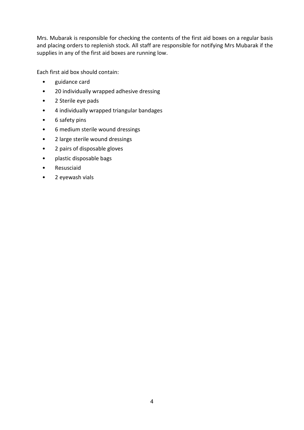Mrs. Mubarak is responsible for checking the contents of the first aid boxes on a regular basis and placing orders to replenish stock. All staff are responsible for notifying Mrs Mubarak if the supplies in any of the first aid boxes are running low.

Each first aid box should contain:

- guidance card
- 20 individually wrapped adhesive dressing
- 2 Sterile eye pads
- 4 individually wrapped triangular bandages
- 6 safety pins
- 6 medium sterile wound dressings
- 2 large sterile wound dressings
- 2 pairs of disposable gloves
- plastic disposable bags
- Resusciaid
- 2 eyewash vials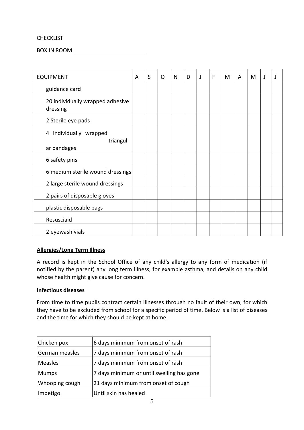## CHECKLIST

BOX IN ROOM

| <b>EQUIPMENT</b>                                  | A | $\sf S$ | O | N | D | J | F | M | A | M | J | J |
|---------------------------------------------------|---|---------|---|---|---|---|---|---|---|---|---|---|
| guidance card                                     |   |         |   |   |   |   |   |   |   |   |   |   |
| 20 individually wrapped adhesive<br>dressing      |   |         |   |   |   |   |   |   |   |   |   |   |
| 2 Sterile eye pads                                |   |         |   |   |   |   |   |   |   |   |   |   |
| 4 individually wrapped<br>triangul<br>ar bandages |   |         |   |   |   |   |   |   |   |   |   |   |
| 6 safety pins                                     |   |         |   |   |   |   |   |   |   |   |   |   |
| 6 medium sterile wound dressings                  |   |         |   |   |   |   |   |   |   |   |   |   |
| 2 large sterile wound dressings                   |   |         |   |   |   |   |   |   |   |   |   |   |
| 2 pairs of disposable gloves                      |   |         |   |   |   |   |   |   |   |   |   |   |
| plastic disposable bags                           |   |         |   |   |   |   |   |   |   |   |   |   |
| Resusciaid                                        |   |         |   |   |   |   |   |   |   |   |   |   |
| 2 eyewash vials                                   |   |         |   |   |   |   |   |   |   |   |   |   |

# **Allergies/Long Term Illness**

A record is kept in the School Office of any child's allergy to any form of medication (if notified by the parent) any long term illness, for example asthma, and details on any child whose health might give cause for concern.

### **Infectious diseases**

From time to time pupils contract certain illnesses through no fault of their own, for which they have to be excluded from school for a specific period of time. Below is a list of diseases and the time for which they should be kept at home:

| Chicken pox    | 6 days minimum from onset of rash         |
|----------------|-------------------------------------------|
| German measles | 7 days minimum from onset of rash         |
| Measles        | 7 days minimum from onset of rash         |
| <b>Mumps</b>   | 7 days minimum or until swelling has gone |
| Whooping cough | 21 days minimum from onset of cough       |
| Impetigo       | Until skin has healed                     |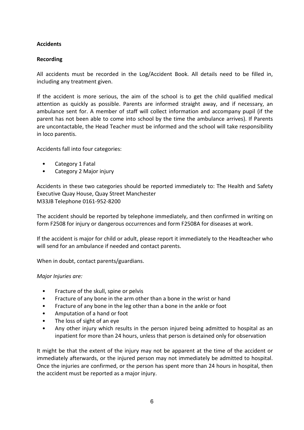# **Accidents**

# **Recording**

All accidents must be recorded in the Log/Accident Book. All details need to be filled in, including any treatment given.

If the accident is more serious, the aim of the school is to get the child qualified medical attention as quickly as possible. Parents are informed straight away, and if necessary, an ambulance sent for. A member of staff will collect information and accompany pupil (if the parent has not been able to come into school by the time the ambulance arrives). If Parents are uncontactable, the Head Teacher must be informed and the school will take responsibility in loco parentis.

Accidents fall into four categories:

- Category 1 Fatal
- Category 2 Major injury

Accidents in these two categories should be reported immediately to: The Health and Safety Executive Quay House, Quay Street Manchester M33JB Telephone 0161-952-8200

The accident should be reported by telephone immediately, and then confirmed in writing on form F2508 for injury or dangerous occurrences and form F2508A for diseases at work.

If the accident is major for child or adult, please report it immediately to the Headteacher who will send for an ambulance if needed and contact parents.

When in doubt, contact parents/guardians.

### *Major Injuries are:*

- Fracture of the skull, spine or pelvis
- Fracture of any bone in the arm other than a bone in the wrist or hand
- Fracture of any bone in the leg other than a bone in the ankle or foot
- Amputation of a hand or foot
- The loss of sight of an eye
- Any other injury which results in the person injured being admitted to hospital as an inpatient for more than 24 hours, unless that person is detained only for observation

It might be that the extent of the injury may not be apparent at the time of the accident or immediately afterwards, or the injured person may not immediately be admitted to hospital. Once the injuries are confirmed, or the person has spent more than 24 hours in hospital, then the accident must be reported as a major injury.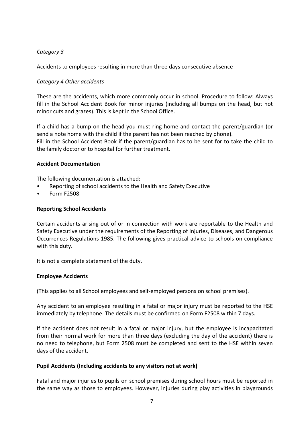# *Category 3*

Accidents to employees resulting in more than three days consecutive absence

# *Category 4 Other accidents*

These are the accidents, which more commonly occur in school. Procedure to follow: Always fill in the School Accident Book for minor injuries (including all bumps on the head, but not minor cuts and grazes). This is kept in the School Office.

If a child has a bump on the head you must ring home and contact the parent/guardian (or send a note home with the child if the parent has not been reached by phone). Fill in the School Accident Book if the parent/guardian has to be sent for to take the child to the family doctor or to hospital for further treatment.

## **Accident Documentation**

The following documentation is attached:

- Reporting of school accidents to the Health and Safety Executive
- Form F2508

## **Reporting School Accidents**

Certain accidents arising out of or in connection with work are reportable to the Health and Safety Executive under the requirements of the Reporting of Injuries, Diseases, and Dangerous Occurrences Regulations 1985. The following gives practical advice to schools on compliance with this duty.

It is not a complete statement of the duty.

### **Employee Accidents**

(This applies to all School employees and self-employed persons on school premises).

Any accident to an employee resulting in a fatal or major injury must be reported to the HSE immediately by telephone. The details must be confirmed on Form F2508 within 7 days.

If the accident does not result in a fatal or major injury, but the employee is incapacitated from their normal work for more than three days (excluding the day of the accident) there is no need to telephone, but Form 2508 must be completed and sent to the HSE within seven days of the accident.

### **Pupil Accidents (Including accidents to any visitors not at work)**

Fatal and major injuries to pupils on school premises during school hours must be reported in the same way as those to employees. However, injuries during play activities in playgrounds